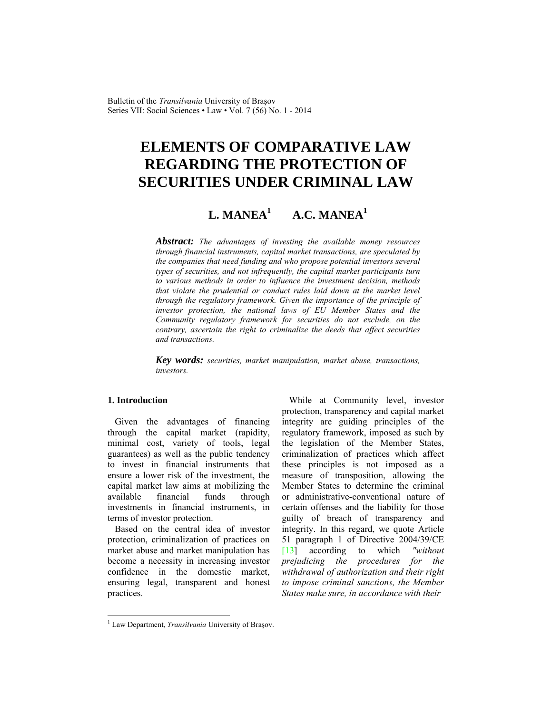Bulletin of the *Transilvania* University of Braşov Series VII: Social Sciences • Law • Vol. 7 (56) No. 1 - 2014

# **ELEMENTS OF COMPARATIVE LAW REGARDING THE PROTECTION OF SECURITIES UNDER CRIMINAL LAW**

#### **L. MANEA1 A.C. MANEA1**

*Abstract: The advantages of investing the available money resources through financial instruments, capital market transactions, are speculated by the companies that need funding and who propose potential investors several types of securities, and not infrequently, the capital market participants turn to various methods in order to influence the investment decision, methods that violate the prudential or conduct rules laid down at the market level through the regulatory framework. Given the importance of the principle of investor protection, the national laws of EU Member States and the Community regulatory framework for securities do not exclude, on the contrary, ascertain the right to criminalize the deeds that affect securities and transactions.* 

*Key words: securities, market manipulation, market abuse, transactions, investors.*

# **1. Introduction**

 $\overline{a}$ 

Given the advantages of financing through the capital market (rapidity, minimal cost, variety of tools, legal guarantees) as well as the public tendency to invest in financial instruments that ensure a lower risk of the investment, the capital market law aims at mobilizing the available financial funds through investments in financial instruments, in terms of investor protection.

Based on the central idea of investor protection, criminalization of practices on market abuse and market manipulation has become a necessity in increasing investor confidence in the domestic market, ensuring legal, transparent and honest practices.

While at Community level, investor protection, transparency and capital market integrity are guiding principles of the regulatory framework, imposed as such by the legislation of the Member States, criminalization of practices which affect these principles is not imposed as a measure of transposition, allowing the Member States to determine the criminal or administrative-conventional nature of certain offenses and the liability for those guilty of breach of transparency and integrity. In this regard, we quote Article 51 paragraph 1 of Directive 2004/39/CE [13] according to which *"without*" *prejudicing the procedures for the withdrawal of authorization and their right to impose criminal sanctions, the Member States make sure, in accordance with their* 

<sup>&</sup>lt;sup>1</sup> Law Department, *Transilvania* University of Braşov.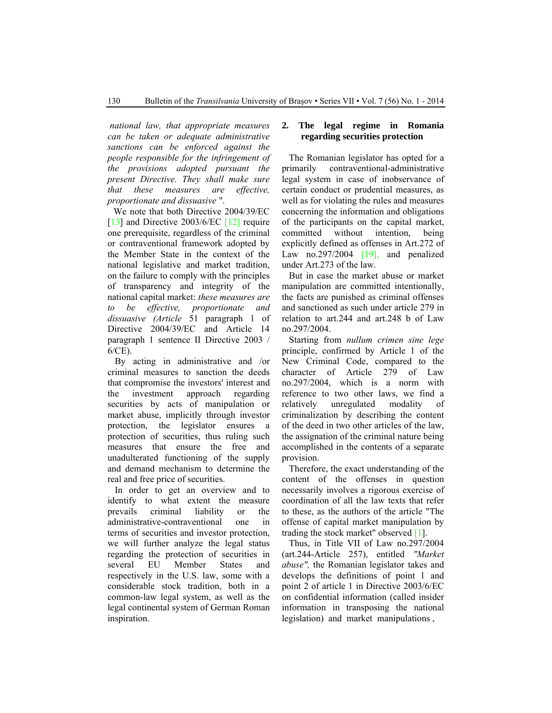*national law, that appropriate measures can be taken or adequate administrative sanctions can be enforced against the people responsible for the infringement of the provisions adopted pursuant the present Directive. They shall make sure that these measures are effective, proportionate and dissuasive* ".

We note that both Directive 2004/39/EC [13] and Directive 2003/6/EC [12] require one prerequisite, regardless of the criminal or contraventional framework adopted by the Member State in the context of the national legislative and market tradition, on the failure to comply with the principles of transparency and integrity of the national capital market: *these measures are to be effective, proportionate and dissuasive (Article* 51 paragraph 1 of Directive 2004/39/EC and Article 14 paragraph 1 sentence II Directive 2003 / 6/CE).

By acting in administrative and /or criminal measures to sanction the deeds that compromise the investors' interest and the investment approach regarding securities by acts of manipulation or market abuse, implicitly through investor protection, the legislator ensures a protection of securities, thus ruling such measures that ensure the free and unadulterated functioning of the supply and demand mechanism to determine the real and free price of securities.

In order to get an overview and to identify to what extent the measure prevails criminal liability or the administrative-contraventional one in terms of securities and investor protection, we will further analyze the legal status regarding the protection of securities in several EU Member States and respectively in the U.S. law, some with a considerable stock tradition, both in a common-law legal system, as well as the legal continental system of German Roman inspiration.

### **2. The legal regime in Romania regarding securities protection**

The Romanian legislator has opted for a primarily contraventional-administrative legal system in case of inobservance of certain conduct or prudential measures, as well as for violating the rules and measures concerning the information and obligations of the participants on the capital market, committed without intention, being explicitly defined as offenses in Art.272 of Law no.297/2004  $[19]$ , and penalized under Art.273 of the law.

But in case the market abuse or market manipulation are committed intentionally, the facts are punished as criminal offenses and sanctioned as such under article 279 in relation to art.244 and art.248 b of Law no.297/2004.

Starting from *nullum crimen sine lege* principle, confirmed by Article 1 of the New Criminal Code, compared to the character of Article 279 of Law no.297/2004, which is a norm with reference to two other laws, we find a relatively unregulated modality of criminalization by describing the content of the deed in two other articles of the law, the assignation of the criminal nature being accomplished in the contents of a separate provision.

Therefore, the exact understanding of the content of the offenses in question necessarily involves a rigorous exercise of coordination of all the law texts that refer to these, as the authors of the article "The offense of capital market manipulation by trading the stock market" observed [1].

Thus, in Title VII of Law no.297/2004 (art.244-Article 257), entitled *"Market abuse",* the Romanian legislator takes and develops the definitions of point 1 and point 2 of article 1 in Directive 2003/6/EC on confidential information (called insider information in transposing the national legislation) and market manipulations ,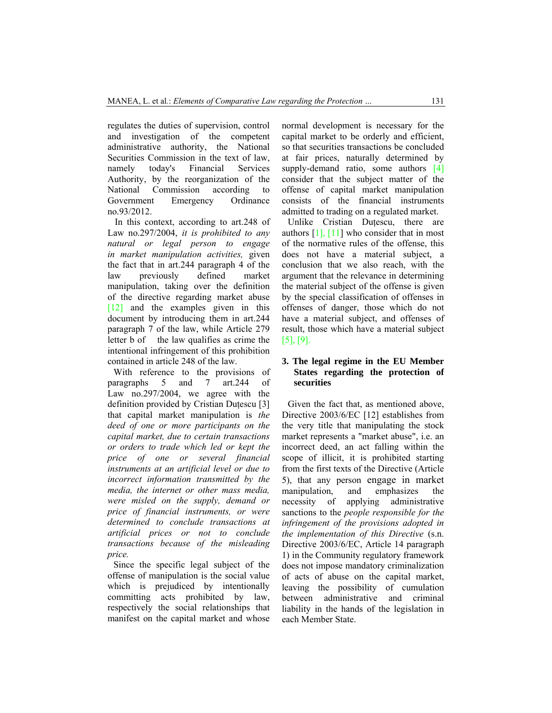regulates the duties of supervision, control and investigation of the competent administrative authority, the National Securities Commission in the text of law, namely today's Financial Services Authority, by the reorganization of the National Commission according to Government Emergency Ordinance no.93/2012.

In this context, according to art.248 of Law no.297/2004, *it is prohibited to any natural or legal person to engage in market manipulation activities,* given the fact that in art.244 paragraph 4 of the law previously defined market manipulation, taking over the definition of the directive regarding market abuse [12] and the examples given in this document by introducing them in art.244 paragraph 7 of the law, while Article 279 letter b of the law qualifies as crime the intentional infringement of this prohibition contained in article 248 of the law.

With reference to the provisions of paragraphs 5 and 7 art.244 of Law no.297/2004, we agree with the definition provided by Cristian Dutescu [3] that capital market manipulation is *the deed of one or more participants on the capital market, due to certain transactions or orders to trade which led or kept the price of one or several financial instruments at an artificial level or due to incorrect information transmitted by the media, the internet or other mass media, were misled on the supply, demand or price of financial instruments, or were determined to conclude transactions at artificial prices or not to conclude transactions because of the misleading price.*

Since the specific legal subject of the offense of manipulation is the social value which is prejudiced by intentionally committing acts prohibited by law, respectively the social relationships that manifest on the capital market and whose normal development is necessary for the capital market to be orderly and efficient, so that securities transactions be concluded at fair prices, naturally determined by supply-demand ratio, some authors [4] consider that the subject matter of the offense of capital market manipulation consists of the financial instruments admitted to trading on a regulated market.

Unlike Cristian Duţescu, there are authors  $[1]$ ,  $[11]$  who consider that in most of the normative rules of the offense, this does not have a material subject, a conclusion that we also reach, with the argument that the relevance in determining the material subject of the offense is given by the special classification of offenses in offenses of danger, those which do not have a material subject, and offenses of result, those which have a material subject [5], [9].

# **3. The legal regime in the EU Member States regarding the protection of securities**

Given the fact that, as mentioned above, Directive 2003/6/EC [12] establishes from the very title that manipulating the stock market represents a "market abuse", i.e. an incorrect deed, an act falling within the scope of illicit, it is prohibited starting from the first texts of the Directive (Article 5), that any person engage in market manipulation, and emphasizes the necessity of applying administrative sanctions to the *people responsible for the infringement of the provisions adopted in the implementation of this Directive* (s.n. Directive 2003/6/EC, Article 14 paragraph 1) in the Community regulatory framework does not impose mandatory criminalization of acts of abuse on the capital market, leaving the possibility of cumulation between administrative and criminal liability in the hands of the legislation in each Member State.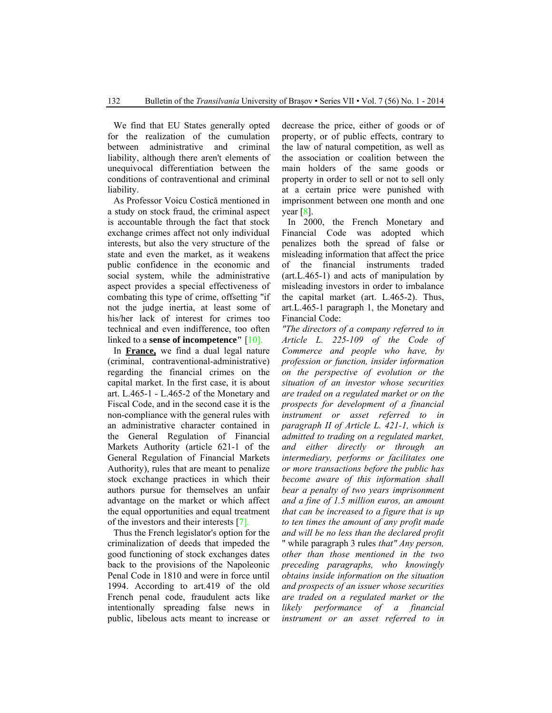We find that EU States generally opted for the realization of the cumulation between administrative and criminal liability, although there aren't elements of unequivocal differentiation between the conditions of contraventional and criminal liability.

As Professor Voicu Costică mentioned in a study on stock fraud, the criminal aspect is accountable through the fact that stock exchange crimes affect not only individual interests, but also the very structure of the state and even the market, as it weakens public confidence in the economic and social system, while the administrative aspect provides a special effectiveness of combating this type of crime, offsetting "if not the judge inertia, at least some of his/her lack of interest for crimes too technical and even indifference, too often linked to a **sense of incompetence"** [10].

In **France,** we find a dual legal nature (criminal, contraventional-administrative) regarding the financial crimes on the capital market. In the first case, it is about art. L.465-1 - L.465-2 of the Monetary and Fiscal Code, and in the second case it is the non-compliance with the general rules with an administrative character contained in the General Regulation of Financial Markets Authority (article 621-1 of the General Regulation of Financial Markets Authority), rules that are meant to penalize stock exchange practices in which their authors pursue for themselves an unfair advantage on the market or which affect the equal opportunities and equal treatment of the investors and their interests [7].

Thus the French legislator's option for the criminalization of deeds that impeded the good functioning of stock exchanges dates back to the provisions of the Napoleonic Penal Code in 1810 and were in force until 1994. According to art.419 of the old French penal code, fraudulent acts like intentionally spreading false news in public, libelous acts meant to increase or decrease the price, either of goods or of property, or of public effects, contrary to the law of natural competition, as well as the association or coalition between the main holders of the same goods or property in order to sell or not to sell only at a certain price were punished with imprisonment between one month and one year  $[8]$ .

In 2000, the French Monetary and Financial Code was adopted which penalizes both the spread of false or misleading information that affect the price of the financial instruments traded (art.L.465-1) and acts of manipulation by misleading investors in order to imbalance the capital market (art. L.465-2). Thus, art.L.465-1 paragraph 1, the Monetary and Financial Code:

*"The directors of a company referred to in Article L. 225-109 of the Code of Commerce and people who have, by profession or function, insider information on the perspective of evolution or the situation of an investor whose securities are traded on a regulated market or on the prospects for development of a financial instrument or asset referred to in paragraph II of Article L. 421-1, which is admitted to trading on a regulated market, and either directly or through an intermediary, performs or facilitates one or more transactions before the public has become aware of this information shall bear a penalty of two years imprisonment and a fine of 1.5 million euros, an amount that can be increased to a figure that is up to ten times the amount of any profit made and will be no less than the declared profit* " while paragraph 3 rules *that" Any person, other than those mentioned in the two preceding paragraphs, who knowingly obtains inside information on the situation and prospects of an issuer whose securities are traded on a regulated market or the likely performance of a financial instrument or an asset referred to in*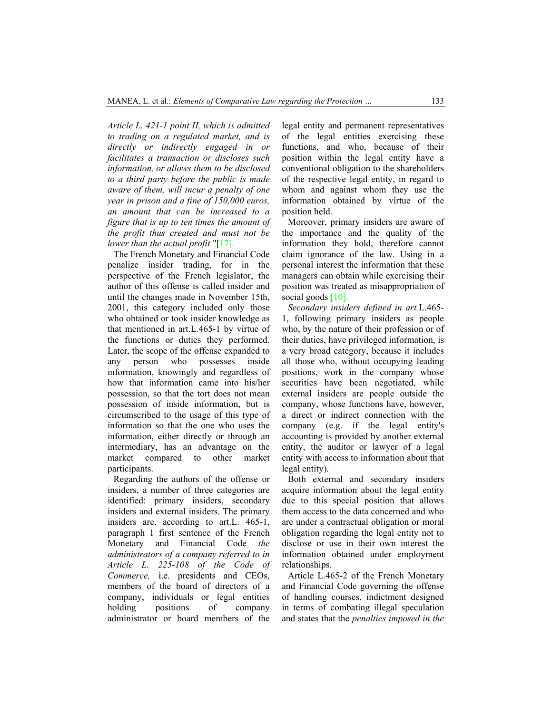*Article L. 421-1 point II, which is admitted to trading on a regulated market, and is directly or indirectly engaged in or facilitates a transaction or discloses such information, or allows them to be disclosed to a third party before the public is made aware of them, will incur a penalty of one year in prison and a fine of 150,000 euros, an amount that can be increased to a figure that is up to ten times the amount of the profit thus created and must not be lower than the actual profit* "[17].

The French Monetary and Financial Code penalize insider trading, for in the perspective of the French legislator, the author of this offense is called insider and until the changes made in November 15th, 2001, this category included only those who obtained or took insider knowledge as that mentioned in art.L.465-1 by virtue of the functions or duties they performed. Later, the scope of the offense expanded to any person who possesses inside information, knowingly and regardless of how that information came into his/her possession, so that the tort does not mean possession of inside information, but is circumscribed to the usage of this type of information so that the one who uses the information, either directly or through an intermediary, has an advantage on the market compared to other market participants.

Regarding the authors of the offense or insiders, a number of three categories are identified: primary insiders, secondary insiders and external insiders. The primary insiders are, according to art.L. 465-1, paragraph 1 first sentence of the French Monetary and Financial Code *the administrators of a company referred to in Article L. 225-108 of the Code of Commerce,* i.e. presidents and CEOs, members of the board of directors of a company, individuals or legal entities holding positions of company administrator or board members of the

legal entity and permanent representatives of the legal entities exercising these functions, and who, because of their position within the legal entity have a conventional obligation to the shareholders of the respective legal entity, in regard to whom and against whom they use the information obtained by virtue of the position held.

Moreover, primary insiders are aware of the importance and the quality of the information they hold, therefore cannot claim ignorance of the law. Using in a personal interest the information that these managers can obtain while exercising their position was treated as misappropriation of social goods [10].

*Secondary insiders defined in art.*L.465- 1, following primary insiders as people who, by the nature of their profession or of their duties, have privileged information, is a very broad category, because it includes all those who, without occupying leading positions, work in the company whose securities have been negotiated, while external insiders are people outside the company, whose functions have, however, a direct or indirect connection with the company (e.g. if the legal entity's accounting is provided by another external entity, the auditor or lawyer of a legal entity with access to information about that legal entity).

Both external and secondary insiders acquire information about the legal entity due to this special position that allows them access to the data concerned and who are under a contractual obligation or moral obligation regarding the legal entity not to disclose or use in their own interest the information obtained under employment relationships.

Article L.465-2 of the French Monetary and Financial Code governing the offense of handling courses, indictment designed in terms of combating illegal speculation and states that the *penalties imposed in the*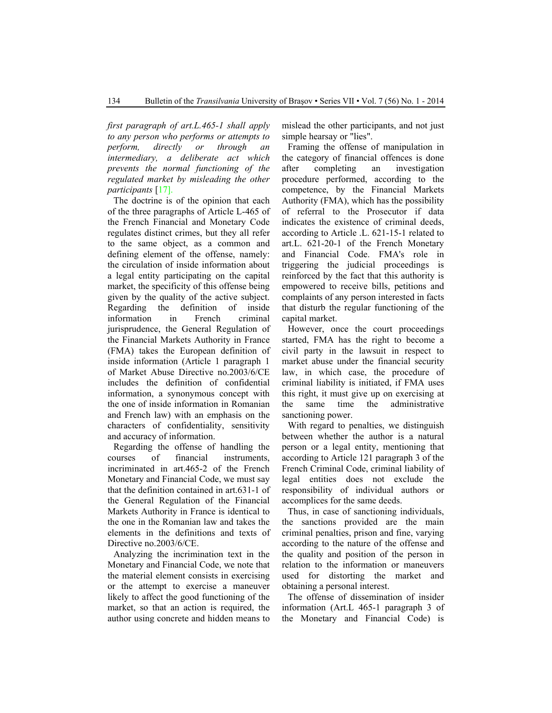*first paragraph of art.L.465-1 shall apply to any person who performs or attempts to perform, directly or through an intermediary, a deliberate act which prevents the normal functioning of the regulated market by misleading the other participants* [17].

The doctrine is of the opinion that each of the three paragraphs of Article L-465 of the French Financial and Monetary Code regulates distinct crimes, but they all refer to the same object, as a common and defining element of the offense, namely: the circulation of inside information about a legal entity participating on the capital market, the specificity of this offense being given by the quality of the active subject. Regarding the definition of inside information in French criminal jurisprudence, the General Regulation of the Financial Markets Authority in France (FMA) takes the European definition of inside information (Article 1 paragraph 1 of Market Abuse Directive no.2003/6/CE includes the definition of confidential information, a synonymous concept with the one of inside information in Romanian and French law) with an emphasis on the characters of confidentiality, sensitivity and accuracy of information.

Regarding the offense of handling the courses of financial instruments, incriminated in art.465-2 of the French Monetary and Financial Code, we must say that the definition contained in art.631-1 of the General Regulation of the Financial Markets Authority in France is identical to the one in the Romanian law and takes the elements in the definitions and texts of Directive no.2003/6/CE.

Analyzing the incrimination text in the Monetary and Financial Code, we note that the material element consists in exercising or the attempt to exercise a maneuver likely to affect the good functioning of the market, so that an action is required, the author using concrete and hidden means to mislead the other participants, and not just simple hearsay or "lies".

Framing the offense of manipulation in the category of financial offences is done after completing an investigation procedure performed, according to the competence, by the Financial Markets Authority (FMA), which has the possibility of referral to the Prosecutor if data indicates the existence of criminal deeds, according to Article .L. 621-15-1 related to art.L. 621-20-1 of the French Monetary and Financial Code. FMA's role in triggering the judicial proceedings is reinforced by the fact that this authority is empowered to receive bills, petitions and complaints of any person interested in facts that disturb the regular functioning of the capital market.

However, once the court proceedings started, FMA has the right to become a civil party in the lawsuit in respect to market abuse under the financial security law, in which case, the procedure of criminal liability is initiated, if FMA uses this right, it must give up on exercising at the same time the administrative sanctioning power.

With regard to penalties, we distinguish between whether the author is a natural person or a legal entity, mentioning that according to Article 121 paragraph 3 of the French Criminal Code, criminal liability of legal entities does not exclude the responsibility of individual authors or accomplices for the same deeds.

Thus, in case of sanctioning individuals, the sanctions provided are the main criminal penalties, prison and fine, varying according to the nature of the offense and the quality and position of the person in relation to the information or maneuvers used for distorting the market and obtaining a personal interest.

The offense of dissemination of insider information (Art.L 465-1 paragraph 3 of the Monetary and Financial Code) is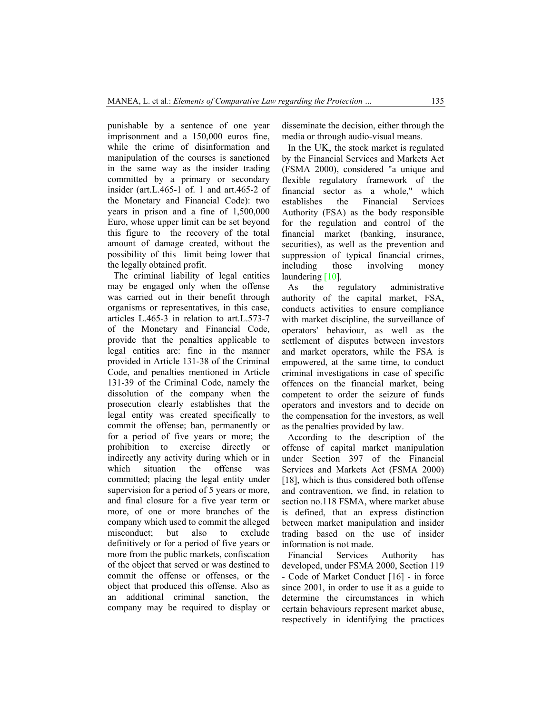punishable by a sentence of one year imprisonment and a 150,000 euros fine, while the crime of disinformation and manipulation of the courses is sanctioned in the same way as the insider trading committed by a primary or secondary insider (art.L.465-1 of. 1 and art.465-2 of the Monetary and Financial Code): two years in prison and a fine of 1,500,000 Euro, whose upper limit can be set beyond this figure to the recovery of the total amount of damage created, without the possibility of this limit being lower that the legally obtained profit.

The criminal liability of legal entities may be engaged only when the offense was carried out in their benefit through organisms or representatives, in this case, articles L.465-3 in relation to art.L.573-7 of the Monetary and Financial Code, provide that the penalties applicable to legal entities are: fine in the manner provided in Article 131-38 of the Criminal Code, and penalties mentioned in Article 131-39 of the Criminal Code, namely the dissolution of the company when the prosecution clearly establishes that the legal entity was created specifically to commit the offense; ban, permanently or for a period of five years or more; the prohibition to exercise directly or indirectly any activity during which or in which situation the offense was committed; placing the legal entity under supervision for a period of 5 years or more, and final closure for a five year term or more, of one or more branches of the company which used to commit the alleged misconduct; but also to exclude definitively or for a period of five years or more from the public markets, confiscation of the object that served or was destined to commit the offense or offenses, or the object that produced this offense. Also as an additional criminal sanction, the company may be required to display or disseminate the decision, either through the media or through audio-visual means.

In the UK, the stock market is regulated by the Financial Services and Markets Act (FSMA 2000), considered "a unique and flexible regulatory framework of the financial sector as a whole," which establishes the Financial Services Authority (FSA) as the body responsible for the regulation and control of the financial market (banking, insurance, securities), as well as the prevention and suppression of typical financial crimes, including those involving money laundering [10].

As the regulatory administrative authority of the capital market, FSA, conducts activities to ensure compliance with market discipline, the surveillance of operators' behaviour, as well as the settlement of disputes between investors and market operators, while the FSA is empowered, at the same time, to conduct criminal investigations in case of specific offences on the financial market, being competent to order the seizure of funds operators and investors and to decide on the compensation for the investors, as well as the penalties provided by law.

According to the description of the offense of capital market manipulation under Section 397 of the Financial Services and Markets Act (FSMA 2000) [18], which is thus considered both offense and contravention, we find, in relation to section no.118 FSMA, where market abuse is defined, that an express distinction between market manipulation and insider trading based on the use of insider information is not made.

Financial Services Authority has developed, under FSMA 2000, Section 119 - Code of Market Conduct [16] - in force since 2001, in order to use it as a guide to determine the circumstances in which certain behaviours represent market abuse, respectively in identifying the practices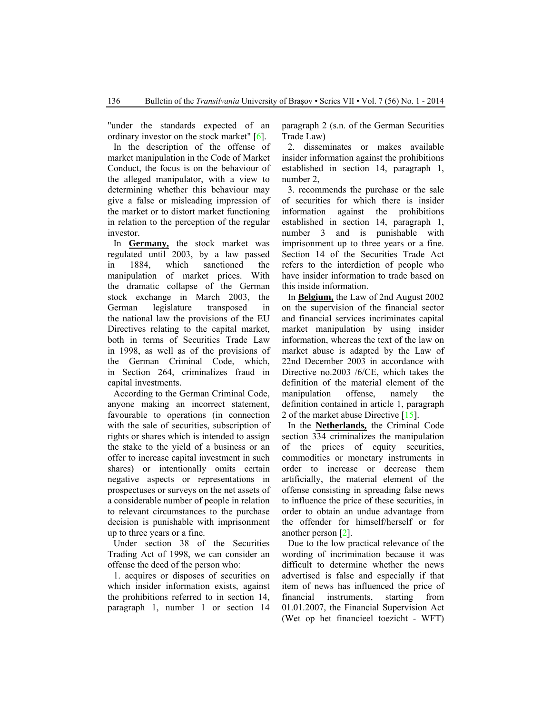"under the standards expected of an ordinary investor on the stock market" [6].

In the description of the offense of market manipulation in the Code of Market Conduct, the focus is on the behaviour of the alleged manipulator, with a view to determining whether this behaviour may give a false or misleading impression of the market or to distort market functioning in relation to the perception of the regular investor.

In **Germany,** the stock market was regulated until 2003, by a law passed in 1884, which sanctioned the manipulation of market prices. With the dramatic collapse of the German stock exchange in March 2003, the German legislature transposed in the national law the provisions of the EU Directives relating to the capital market, both in terms of Securities Trade Law in 1998, as well as of the provisions of the German Criminal Code, which, in Section 264, criminalizes fraud in capital investments.

According to the German Criminal Code, anyone making an incorrect statement, favourable to operations (in connection with the sale of securities, subscription of rights or shares which is intended to assign the stake to the yield of a business or an offer to increase capital investment in such shares) or intentionally omits certain negative aspects or representations in prospectuses or surveys on the net assets of a considerable number of people in relation to relevant circumstances to the purchase decision is punishable with imprisonment up to three years or a fine.

Under section 38 of the Securities Trading Act of 1998, we can consider an offense the deed of the person who:

1. acquires or disposes of securities on which insider information exists, against the prohibitions referred to in section 14, paragraph 1, number 1 or section 14 paragraph 2 (s.n. of the German Securities Trade Law)

2. disseminates or makes available insider information against the prohibitions established in section 14, paragraph 1, number 2,

3. recommends the purchase or the sale of securities for which there is insider information against the prohibitions established in section 14, paragraph 1, number 3 and is punishable with imprisonment up to three years or a fine. Section 14 of the Securities Trade Act refers to the interdiction of people who have insider information to trade based on this inside information.

In **Belgium,** the Law of 2nd August 2002 on the supervision of the financial sector and financial services incriminates capital market manipulation by using insider information, whereas the text of the law on market abuse is adapted by the Law of 22nd December 2003 in accordance with Directive no.2003 /6/CE, which takes the definition of the material element of the manipulation offense, namely the definition contained in article 1, paragraph 2 of the market abuse Directive [15].

In the **Netherlands,** the Criminal Code section 334 criminalizes the manipulation of the prices of equity securities, commodities or monetary instruments in order to increase or decrease them artificially, the material element of the offense consisting in spreading false news to influence the price of these securities, in order to obtain an undue advantage from the offender for himself/herself or for another person [2].

Due to the low practical relevance of the wording of incrimination because it was difficult to determine whether the news advertised is false and especially if that item of news has influenced the price of financial instruments, starting from 01.01.2007, the Financial Supervision Act (Wet op het financieel toezicht - WFT)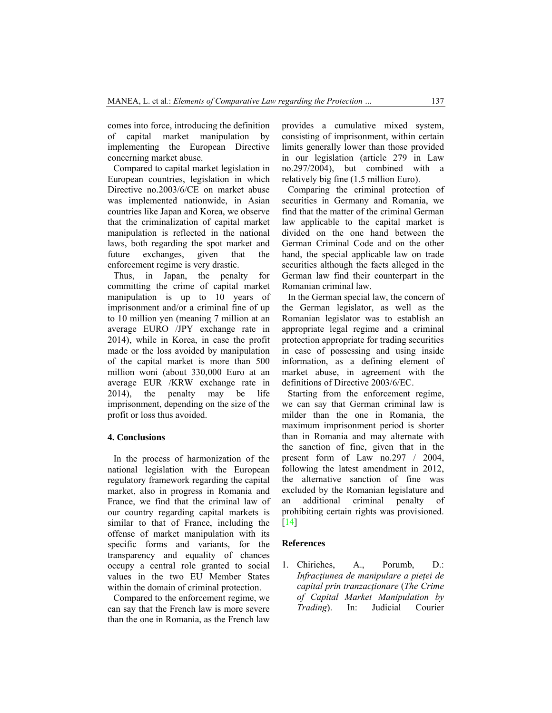comes into force, introducing the definition of capital market manipulation by implementing the European Directive concerning market abuse.

Compared to capital market legislation in European countries, legislation in which Directive no.2003/6/CE on market abuse was implemented nationwide, in Asian countries like Japan and Korea, we observe that the criminalization of capital market manipulation is reflected in the national laws, both regarding the spot market and future exchanges, given that the enforcement regime is very drastic.

Thus, in Japan, the penalty for committing the crime of capital market manipulation is up to 10 years of imprisonment and/or a criminal fine of up to 10 million yen (meaning 7 million at an average EURO /JPY exchange rate in 2014), while in Korea, in case the profit made or the loss avoided by manipulation of the capital market is more than 500 million woni (about 330,000 Euro at an average EUR /KRW exchange rate in 2014), the penalty may be life imprisonment, depending on the size of the profit or loss thus avoided.

#### **4. Conclusions**

In the process of harmonization of the national legislation with the European regulatory framework regarding the capital market, also in progress in Romania and France, we find that the criminal law of our country regarding capital markets is similar to that of France, including the offense of market manipulation with its specific forms and variants, for the transparency and equality of chances occupy a central role granted to social values in the two EU Member States within the domain of criminal protection.

Compared to the enforcement regime, we can say that the French law is more severe than the one in Romania, as the French law provides a cumulative mixed system, consisting of imprisonment, within certain limits generally lower than those provided in our legislation (article 279 in Law no.297/2004), but combined with a relatively big fine (1.5 million Euro).

Comparing the criminal protection of securities in Germany and Romania, we find that the matter of the criminal German law applicable to the capital market is divided on the one hand between the German Criminal Code and on the other hand, the special applicable law on trade securities although the facts alleged in the German law find their counterpart in the Romanian criminal law.

In the German special law, the concern of the German legislator, as well as the Romanian legislator was to establish an appropriate legal regime and a criminal protection appropriate for trading securities in case of possessing and using inside information, as a defining element of market abuse, in agreement with the definitions of Directive 2003/6/EC.

Starting from the enforcement regime, we can say that German criminal law is milder than the one in Romania, the maximum imprisonment period is shorter than in Romania and may alternate with the sanction of fine, given that in the present form of Law no.297 / 2004, following the latest amendment in 2012, the alternative sanction of fine was excluded by the Romanian legislature and an additional criminal penalty of prohibiting certain rights was provisioned. [14]

#### **References**

1. Chiriches, A., Porumb, D.: *Infracţiunea de manipulare a pieţei de capital prin tranzacţionare* (*The Crime of Capital Market Manipulation by Trading*). In: Judicial Courier